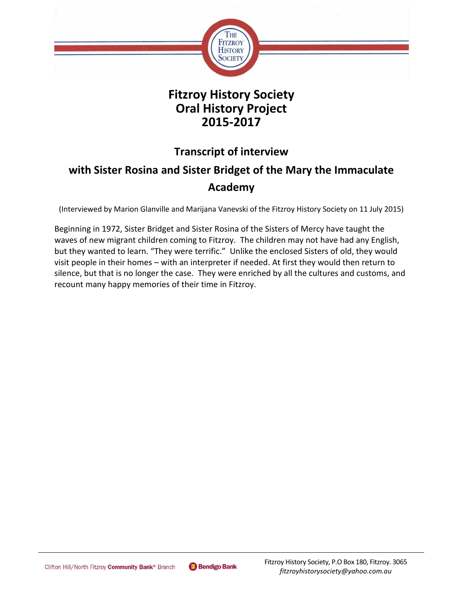

### **Fitzroy History Society Oral History Project 2015-2017**

## **Transcript of interview**

# **with Sister Rosina and Sister Bridget of the Mary the Immaculate Academy**

(Interviewed by Marion Glanville and Marijana Vanevski of the Fitzroy History Society on 11 July 2015)

Beginning in 1972, Sister Bridget and Sister Rosina of the Sisters of Mercy have taught the waves of new migrant children coming to Fitzroy. The children may not have had any English, but they wanted to learn. "They were terrific." Unlike the enclosed Sisters of old, they would visit people in their homes – with an interpreter if needed. At first they would then return to silence, but that is no longer the case. They were enriched by all the cultures and customs, and recount many happy memories of their time in Fitzroy.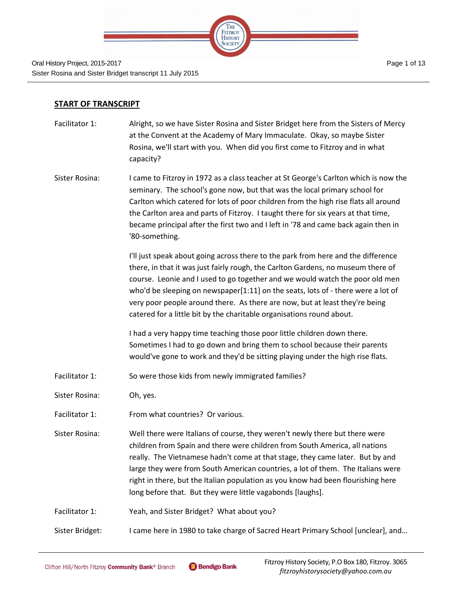

#### **START OF TRANSCRIPT**

- Facilitator 1: Alright, so we have Sister Rosina and Sister Bridget here from the Sisters of Mercy at the Convent at the Academy of Mary Immaculate. Okay, so maybe Sister Rosina, we'll start with you. When did you first come to Fitzroy and in what capacity?
- Sister Rosina: I came to Fitzroy in 1972 as a class teacher at St George's Carlton which is now the seminary. The school's gone now, but that was the local primary school for Carlton which catered for lots of poor children from the high rise flats all around the Carlton area and parts of Fitzroy. I taught there for six years at that time, became principal after the first two and I left in '78 and came back again then in '80-something.

I'll just speak about going across there to the park from here and the difference there, in that it was just fairly rough, the Carlton Gardens, no museum there of course. Leonie and I used to go together and we would watch the poor old men who'd be sleeping on newspaper[1:11] on the seats, lots of - there were a lot of very poor people around there. As there are now, but at least they're being catered for a little bit by the charitable organisations round about.

I had a very happy time teaching those poor little children down there. Sometimes I had to go down and bring them to school because their parents would've gone to work and they'd be sitting playing under the high rise flats.

Facilitator 1: So were those kids from newly immigrated families?

Sister Rosina: Oh, yes.

- Facilitator 1: From what countries? Or various.
- Sister Rosina: Well there were Italians of course, they weren't newly there but there were children from Spain and there were children from South America, all nations really. The Vietnamese hadn't come at that stage, they came later. But by and large they were from South American countries, a lot of them. The Italians were right in there, but the Italian population as you know had been flourishing here long before that. But they were little vagabonds [laughs].

Facilitator 1: Yeah, and Sister Bridget? What about you?

Sister Bridget: I came here in 1980 to take charge of Sacred Heart Primary School [unclear], and...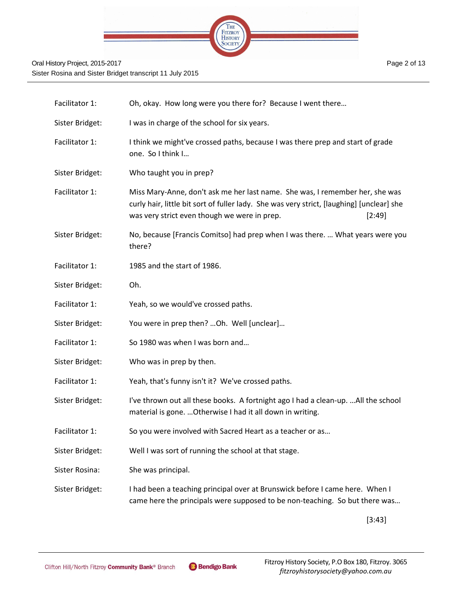

| Facilitator 1:  | Oh, okay. How long were you there for? Because I went there                                                                                                                                                                         |  |  |
|-----------------|-------------------------------------------------------------------------------------------------------------------------------------------------------------------------------------------------------------------------------------|--|--|
| Sister Bridget: | I was in charge of the school for six years.                                                                                                                                                                                        |  |  |
| Facilitator 1:  | I think we might've crossed paths, because I was there prep and start of grade<br>one. So I think I                                                                                                                                 |  |  |
| Sister Bridget: | Who taught you in prep?                                                                                                                                                                                                             |  |  |
| Facilitator 1:  | Miss Mary-Anne, don't ask me her last name. She was, I remember her, she was<br>curly hair, little bit sort of fuller lady. She was very strict, [laughing] [unclear] she<br>was very strict even though we were in prep.<br>[2:49] |  |  |
| Sister Bridget: | No, because [Francis Comitso] had prep when I was there.  What years were you<br>there?                                                                                                                                             |  |  |
| Facilitator 1:  | 1985 and the start of 1986.                                                                                                                                                                                                         |  |  |
| Sister Bridget: | Oh.                                                                                                                                                                                                                                 |  |  |
| Facilitator 1:  | Yeah, so we would've crossed paths.                                                                                                                                                                                                 |  |  |
| Sister Bridget: | You were in prep then?  Oh. Well [unclear]                                                                                                                                                                                          |  |  |
| Facilitator 1:  | So 1980 was when I was born and                                                                                                                                                                                                     |  |  |
| Sister Bridget: | Who was in prep by then.                                                                                                                                                                                                            |  |  |
| Facilitator 1:  | Yeah, that's funny isn't it? We've crossed paths.                                                                                                                                                                                   |  |  |
| Sister Bridget: | I've thrown out all these books. A fortnight ago I had a clean-up. All the school<br>material is gone.  Otherwise I had it all down in writing.                                                                                     |  |  |
| Facilitator 1:  | So you were involved with Sacred Heart as a teacher or as                                                                                                                                                                           |  |  |
| Sister Bridget: | Well I was sort of running the school at that stage.                                                                                                                                                                                |  |  |
| Sister Rosina:  | She was principal.                                                                                                                                                                                                                  |  |  |
| Sister Bridget: | I had been a teaching principal over at Brunswick before I came here. When I<br>came here the principals were supposed to be non-teaching. So but there was                                                                         |  |  |

[3:43]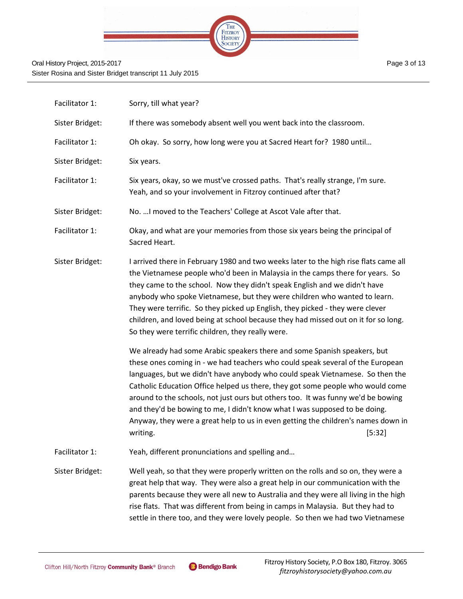

| Facilitator 1:  | Sorry, till what year?                                                                                                                                                                                                                                                                                                                                                                                                                                                                                                                                                                                     |
|-----------------|------------------------------------------------------------------------------------------------------------------------------------------------------------------------------------------------------------------------------------------------------------------------------------------------------------------------------------------------------------------------------------------------------------------------------------------------------------------------------------------------------------------------------------------------------------------------------------------------------------|
| Sister Bridget: | If there was somebody absent well you went back into the classroom.                                                                                                                                                                                                                                                                                                                                                                                                                                                                                                                                        |
| Facilitator 1:  | Oh okay. So sorry, how long were you at Sacred Heart for? 1980 until                                                                                                                                                                                                                                                                                                                                                                                                                                                                                                                                       |
| Sister Bridget: | Six years.                                                                                                                                                                                                                                                                                                                                                                                                                                                                                                                                                                                                 |
| Facilitator 1:  | Six years, okay, so we must've crossed paths. That's really strange, I'm sure.<br>Yeah, and so your involvement in Fitzroy continued after that?                                                                                                                                                                                                                                                                                                                                                                                                                                                           |
| Sister Bridget: | No.  I moved to the Teachers' College at Ascot Vale after that.                                                                                                                                                                                                                                                                                                                                                                                                                                                                                                                                            |
| Facilitator 1:  | Okay, and what are your memories from those six years being the principal of<br>Sacred Heart.                                                                                                                                                                                                                                                                                                                                                                                                                                                                                                              |
| Sister Bridget: | I arrived there in February 1980 and two weeks later to the high rise flats came all<br>the Vietnamese people who'd been in Malaysia in the camps there for years. So<br>they came to the school. Now they didn't speak English and we didn't have<br>anybody who spoke Vietnamese, but they were children who wanted to learn.<br>They were terrific. So they picked up English, they picked - they were clever<br>children, and loved being at school because they had missed out on it for so long.<br>So they were terrific children, they really were.                                                |
|                 | We already had some Arabic speakers there and some Spanish speakers, but<br>these ones coming in - we had teachers who could speak several of the European<br>languages, but we didn't have anybody who could speak Vietnamese. So then the<br>Catholic Education Office helped us there, they got some people who would come<br>around to the schools, not just ours but others too. It was funny we'd be bowing<br>and they'd be bowing to me, I didn't know what I was supposed to be doing.<br>Anyway, they were a great help to us in even getting the children's names down in<br>[5:32]<br>writing. |
| Facilitator 1:  | Yeah, different pronunciations and spelling and                                                                                                                                                                                                                                                                                                                                                                                                                                                                                                                                                            |
| Sister Bridget: | Well yeah, so that they were properly written on the rolls and so on, they were a<br>great help that way. They were also a great help in our communication with the<br>parents because they were all new to Australia and they were all living in the high                                                                                                                                                                                                                                                                                                                                                 |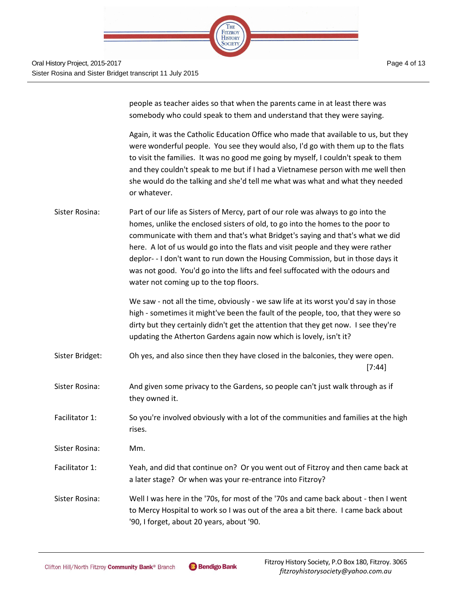

people as teacher aides so that when the parents came in at least there was somebody who could speak to them and understand that they were saying.

Again, it was the Catholic Education Office who made that available to us, but they were wonderful people. You see they would also, I'd go with them up to the flats to visit the families. It was no good me going by myself, I couldn't speak to them and they couldn't speak to me but if I had a Vietnamese person with me well then she would do the talking and she'd tell me what was what and what they needed or whatever.

Sister Rosina: Part of our life as Sisters of Mercy, part of our role was always to go into the homes, unlike the enclosed sisters of old, to go into the homes to the poor to communicate with them and that's what Bridget's saying and that's what we did here. A lot of us would go into the flats and visit people and they were rather deplor- - I don't want to run down the Housing Commission, but in those days it was not good. You'd go into the lifts and feel suffocated with the odours and water not coming up to the top floors.

> We saw - not all the time, obviously - we saw life at its worst you'd say in those high - sometimes it might've been the fault of the people, too, that they were so dirty but they certainly didn't get the attention that they get now. I see they're updating the Atherton Gardens again now which is lovely, isn't it?

- Sister Bridget: Oh yes, and also since then they have closed in the balconies, they were open. [7:44]
- Sister Rosina: And given some privacy to the Gardens, so people can't just walk through as if they owned it.
- Facilitator 1: So you're involved obviously with a lot of the communities and families at the high rises.

Sister Rosina: Mm.

Facilitator 1: Yeah, and did that continue on? Or you went out of Fitzroy and then came back at a later stage? Or when was your re-entrance into Fitzroy?

Sister Rosina: Well I was here in the '70s, for most of the '70s and came back about - then I went to Mercy Hospital to work so I was out of the area a bit there. I came back about '90, I forget, about 20 years, about '90.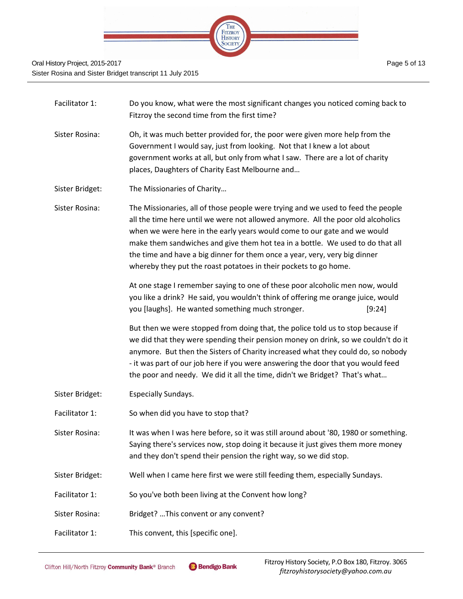

| Facilitator 1:  | Do you know, what were the most significant changes you noticed coming back to<br>Fitzroy the second time from the first time?                                                                                                                                                                                                                                                                                                                                                       |  |
|-----------------|--------------------------------------------------------------------------------------------------------------------------------------------------------------------------------------------------------------------------------------------------------------------------------------------------------------------------------------------------------------------------------------------------------------------------------------------------------------------------------------|--|
| Sister Rosina:  | Oh, it was much better provided for, the poor were given more help from the<br>Government I would say, just from looking. Not that I knew a lot about<br>government works at all, but only from what I saw. There are a lot of charity<br>places, Daughters of Charity East Melbourne and                                                                                                                                                                                            |  |
| Sister Bridget: | The Missionaries of Charity                                                                                                                                                                                                                                                                                                                                                                                                                                                          |  |
| Sister Rosina:  | The Missionaries, all of those people were trying and we used to feed the people<br>all the time here until we were not allowed anymore. All the poor old alcoholics<br>when we were here in the early years would come to our gate and we would<br>make them sandwiches and give them hot tea in a bottle. We used to do that all<br>the time and have a big dinner for them once a year, very, very big dinner<br>whereby they put the roast potatoes in their pockets to go home. |  |
|                 | At one stage I remember saying to one of these poor alcoholic men now, would<br>you like a drink? He said, you wouldn't think of offering me orange juice, would<br>you [laughs]. He wanted something much stronger.<br>[9:24]                                                                                                                                                                                                                                                       |  |
|                 | But then we were stopped from doing that, the police told us to stop because if<br>we did that they were spending their pension money on drink, so we couldn't do it<br>anymore. But then the Sisters of Charity increased what they could do, so nobody<br>- it was part of our job here if you were answering the door that you would feed<br>the poor and needy. We did it all the time, didn't we Bridget? That's what                                                           |  |
| Sister Bridget: | <b>Especially Sundays.</b>                                                                                                                                                                                                                                                                                                                                                                                                                                                           |  |
| Facilitator 1:  | So when did you have to stop that?                                                                                                                                                                                                                                                                                                                                                                                                                                                   |  |
| Sister Rosina:  | It was when I was here before, so it was still around about '80, 1980 or something.<br>Saying there's services now, stop doing it because it just gives them more money<br>and they don't spend their pension the right way, so we did stop.                                                                                                                                                                                                                                         |  |
| Sister Bridget: | Well when I came here first we were still feeding them, especially Sundays.                                                                                                                                                                                                                                                                                                                                                                                                          |  |
| Facilitator 1:  | So you've both been living at the Convent how long?                                                                                                                                                                                                                                                                                                                                                                                                                                  |  |
| Sister Rosina:  | Bridget? This convent or any convent?                                                                                                                                                                                                                                                                                                                                                                                                                                                |  |
| Facilitator 1:  | This convent, this [specific one].                                                                                                                                                                                                                                                                                                                                                                                                                                                   |  |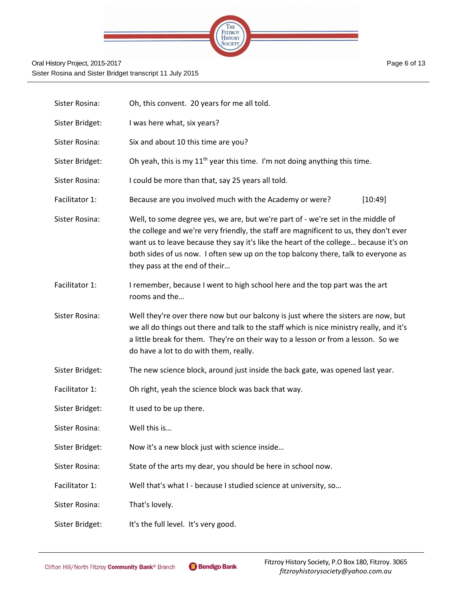

| Sister Rosina:  | Oh, this convent. 20 years for me all told.                                                                                                                                                                                                                                                                                                                                              |  |
|-----------------|------------------------------------------------------------------------------------------------------------------------------------------------------------------------------------------------------------------------------------------------------------------------------------------------------------------------------------------------------------------------------------------|--|
| Sister Bridget: | I was here what, six years?                                                                                                                                                                                                                                                                                                                                                              |  |
| Sister Rosina:  | Six and about 10 this time are you?                                                                                                                                                                                                                                                                                                                                                      |  |
| Sister Bridget: | Oh yeah, this is my 11 <sup>th</sup> year this time. I'm not doing anything this time.                                                                                                                                                                                                                                                                                                   |  |
| Sister Rosina:  | I could be more than that, say 25 years all told.                                                                                                                                                                                                                                                                                                                                        |  |
| Facilitator 1:  | Because are you involved much with the Academy or were?<br>[10:49]                                                                                                                                                                                                                                                                                                                       |  |
| Sister Rosina:  | Well, to some degree yes, we are, but we're part of - we're set in the middle of<br>the college and we're very friendly, the staff are magnificent to us, they don't ever<br>want us to leave because they say it's like the heart of the college because it's on<br>both sides of us now. I often sew up on the top balcony there, talk to everyone as<br>they pass at the end of their |  |
| Facilitator 1:  | I remember, because I went to high school here and the top part was the art<br>rooms and the                                                                                                                                                                                                                                                                                             |  |
| Sister Rosina:  | Well they're over there now but our balcony is just where the sisters are now, but<br>we all do things out there and talk to the staff which is nice ministry really, and it's<br>a little break for them. They're on their way to a lesson or from a lesson. So we<br>do have a lot to do with them, really.                                                                            |  |
| Sister Bridget: | The new science block, around just inside the back gate, was opened last year.                                                                                                                                                                                                                                                                                                           |  |
| Facilitator 1:  | Oh right, yeah the science block was back that way.                                                                                                                                                                                                                                                                                                                                      |  |
| Sister Bridget: | It used to be up there.                                                                                                                                                                                                                                                                                                                                                                  |  |
| Sister Rosina:  | Well this is                                                                                                                                                                                                                                                                                                                                                                             |  |
| Sister Bridget: | Now it's a new block just with science inside                                                                                                                                                                                                                                                                                                                                            |  |
| Sister Rosina:  | State of the arts my dear, you should be here in school now.                                                                                                                                                                                                                                                                                                                             |  |
| Facilitator 1:  | Well that's what I - because I studied science at university, so                                                                                                                                                                                                                                                                                                                         |  |
| Sister Rosina:  | That's lovely.                                                                                                                                                                                                                                                                                                                                                                           |  |
| Sister Bridget: | It's the full level. It's very good.                                                                                                                                                                                                                                                                                                                                                     |  |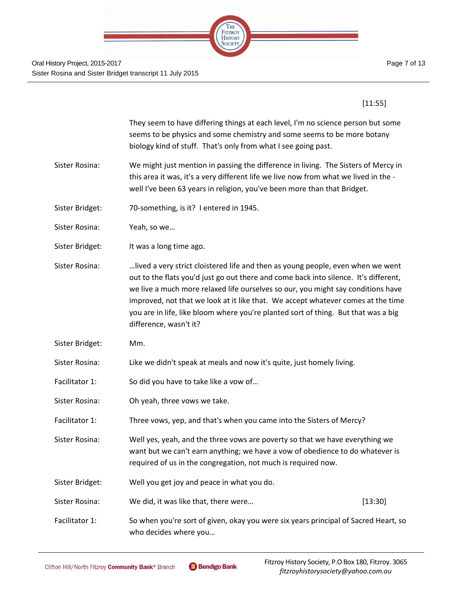

Page 7 of 13

[11:55]

|                 | They seem to have differing things at each level, I'm no science person but some<br>seems to be physics and some chemistry and some seems to be more botany<br>biology kind of stuff. That's only from what I see going past.                                                                                                                                                                                                                                   |         |
|-----------------|-----------------------------------------------------------------------------------------------------------------------------------------------------------------------------------------------------------------------------------------------------------------------------------------------------------------------------------------------------------------------------------------------------------------------------------------------------------------|---------|
| Sister Rosina:  | We might just mention in passing the difference in living. The Sisters of Mercy in<br>this area it was, it's a very different life we live now from what we lived in the -<br>well I've been 63 years in religion, you've been more than that Bridget.                                                                                                                                                                                                          |         |
| Sister Bridget: | 70-something, is it? I entered in 1945.                                                                                                                                                                                                                                                                                                                                                                                                                         |         |
| Sister Rosina:  | Yeah, so we                                                                                                                                                                                                                                                                                                                                                                                                                                                     |         |
| Sister Bridget: | It was a long time ago.                                                                                                                                                                                                                                                                                                                                                                                                                                         |         |
| Sister Rosina:  | lived a very strict cloistered life and then as young people, even when we went<br>out to the flats you'd just go out there and come back into silence. It's different,<br>we live a much more relaxed life ourselves so our, you might say conditions have<br>improved, not that we look at it like that. We accept whatever comes at the time<br>you are in life, like bloom where you're planted sort of thing. But that was a big<br>difference, wasn't it? |         |
| Sister Bridget: | Mm.                                                                                                                                                                                                                                                                                                                                                                                                                                                             |         |
| Sister Rosina:  | Like we didn't speak at meals and now it's quite, just homely living.                                                                                                                                                                                                                                                                                                                                                                                           |         |
| Facilitator 1:  | So did you have to take like a vow of                                                                                                                                                                                                                                                                                                                                                                                                                           |         |
| Sister Rosina:  | Oh yeah, three vows we take.                                                                                                                                                                                                                                                                                                                                                                                                                                    |         |
| Facilitator 1:  | Three vows, yep, and that's when you came into the Sisters of Mercy?                                                                                                                                                                                                                                                                                                                                                                                            |         |
| Sister Rosina:  | Well yes, yeah, and the three vows are poverty so that we have everything we<br>want but we can't earn anything; we have a vow of obedience to do whatever is<br>required of us in the congregation, not much is required now.                                                                                                                                                                                                                                  |         |
| Sister Bridget: | Well you get joy and peace in what you do.                                                                                                                                                                                                                                                                                                                                                                                                                      |         |
| Sister Rosina:  | We did, it was like that, there were                                                                                                                                                                                                                                                                                                                                                                                                                            | [13:30] |
| Facilitator 1:  | So when you're sort of given, okay you were six years principal of Sacred Heart, so<br>who decides where you                                                                                                                                                                                                                                                                                                                                                    |         |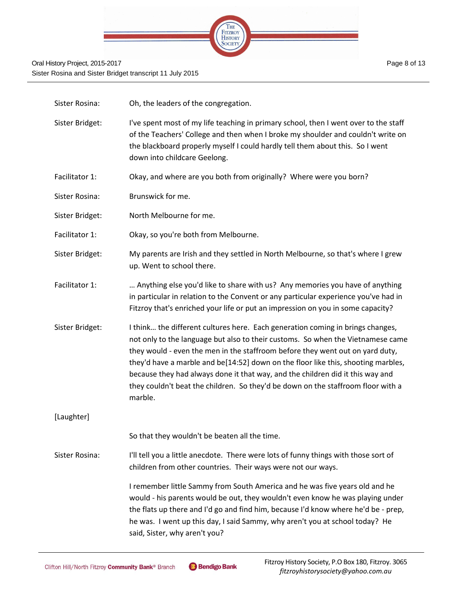

| Sister Rosina:  | Oh, the leaders of the congregation.                                                                                                                                                                                                                                                                                                                                                                                                                                                                                     |
|-----------------|--------------------------------------------------------------------------------------------------------------------------------------------------------------------------------------------------------------------------------------------------------------------------------------------------------------------------------------------------------------------------------------------------------------------------------------------------------------------------------------------------------------------------|
| Sister Bridget: | I've spent most of my life teaching in primary school, then I went over to the staff<br>of the Teachers' College and then when I broke my shoulder and couldn't write on<br>the blackboard properly myself I could hardly tell them about this. So I went<br>down into childcare Geelong.                                                                                                                                                                                                                                |
| Facilitator 1:  | Okay, and where are you both from originally? Where were you born?                                                                                                                                                                                                                                                                                                                                                                                                                                                       |
| Sister Rosina:  | Brunswick for me.                                                                                                                                                                                                                                                                                                                                                                                                                                                                                                        |
| Sister Bridget: | North Melbourne for me.                                                                                                                                                                                                                                                                                                                                                                                                                                                                                                  |
| Facilitator 1:  | Okay, so you're both from Melbourne.                                                                                                                                                                                                                                                                                                                                                                                                                                                                                     |
| Sister Bridget: | My parents are Irish and they settled in North Melbourne, so that's where I grew<br>up. Went to school there.                                                                                                                                                                                                                                                                                                                                                                                                            |
| Facilitator 1:  | Anything else you'd like to share with us? Any memories you have of anything<br>in particular in relation to the Convent or any particular experience you've had in<br>Fitzroy that's enriched your life or put an impression on you in some capacity?                                                                                                                                                                                                                                                                   |
| Sister Bridget: | I think the different cultures here. Each generation coming in brings changes,<br>not only to the language but also to their customs. So when the Vietnamese came<br>they would - even the men in the staffroom before they went out on yard duty,<br>they'd have a marble and be[14:52] down on the floor like this, shooting marbles,<br>because they had always done it that way, and the children did it this way and<br>they couldn't beat the children. So they'd be down on the staffroom floor with a<br>marble. |
| [Laughter]      |                                                                                                                                                                                                                                                                                                                                                                                                                                                                                                                          |
|                 | So that they wouldn't be beaten all the time.                                                                                                                                                                                                                                                                                                                                                                                                                                                                            |
| Sister Rosina:  | I'll tell you a little anecdote. There were lots of funny things with those sort of<br>children from other countries. Their ways were not our ways.                                                                                                                                                                                                                                                                                                                                                                      |
|                 | I remember little Sammy from South America and he was five years old and he<br>would - his parents would be out, they wouldn't even know he was playing under<br>the flats up there and I'd go and find him, because I'd know where he'd be - prep,<br>he was. I went up this day, I said Sammy, why aren't you at school today? He<br>said, Sister, why aren't you?                                                                                                                                                     |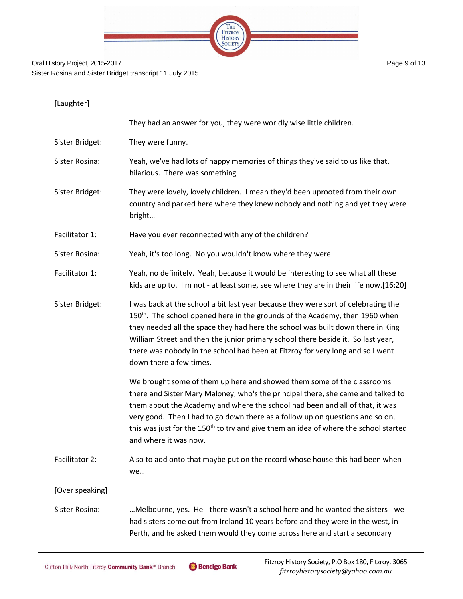

| [Laughter]      |                                                                                                                                                                                                                                                                                                                                                                                                                                                                    |
|-----------------|--------------------------------------------------------------------------------------------------------------------------------------------------------------------------------------------------------------------------------------------------------------------------------------------------------------------------------------------------------------------------------------------------------------------------------------------------------------------|
|                 | They had an answer for you, they were worldly wise little children.                                                                                                                                                                                                                                                                                                                                                                                                |
| Sister Bridget: | They were funny.                                                                                                                                                                                                                                                                                                                                                                                                                                                   |
| Sister Rosina:  | Yeah, we've had lots of happy memories of things they've said to us like that,<br>hilarious. There was something                                                                                                                                                                                                                                                                                                                                                   |
| Sister Bridget: | They were lovely, lovely children. I mean they'd been uprooted from their own<br>country and parked here where they knew nobody and nothing and yet they were<br>bright                                                                                                                                                                                                                                                                                            |
| Facilitator 1:  | Have you ever reconnected with any of the children?                                                                                                                                                                                                                                                                                                                                                                                                                |
| Sister Rosina:  | Yeah, it's too long. No you wouldn't know where they were.                                                                                                                                                                                                                                                                                                                                                                                                         |
| Facilitator 1:  | Yeah, no definitely. Yeah, because it would be interesting to see what all these<br>kids are up to. I'm not - at least some, see where they are in their life now.[16:20]                                                                                                                                                                                                                                                                                          |
| Sister Bridget: | I was back at the school a bit last year because they were sort of celebrating the<br>150 <sup>th</sup> . The school opened here in the grounds of the Academy, then 1960 when<br>they needed all the space they had here the school was built down there in King<br>William Street and then the junior primary school there beside it. So last year,<br>there was nobody in the school had been at Fitzroy for very long and so I went<br>down there a few times. |
|                 | We brought some of them up here and showed them some of the classrooms<br>there and Sister Mary Maloney, who's the principal there, she came and talked to<br>them about the Academy and where the school had been and all of that, it was<br>very good. Then I had to go down there as a follow up on questions and so on,<br>this was just for the 150 <sup>th</sup> to try and give them an idea of where the school started<br>and where it was now.           |
| Facilitator 2:  | Also to add onto that maybe put on the record whose house this had been when<br>we                                                                                                                                                                                                                                                                                                                                                                                 |
| [Over speaking] |                                                                                                                                                                                                                                                                                                                                                                                                                                                                    |
| Sister Rosina:  | Melbourne, yes. He - there wasn't a school here and he wanted the sisters - we<br>had sisters come out from Ireland 10 years before and they were in the west, in<br>Perth, and he asked them would they come across here and start a secondary                                                                                                                                                                                                                    |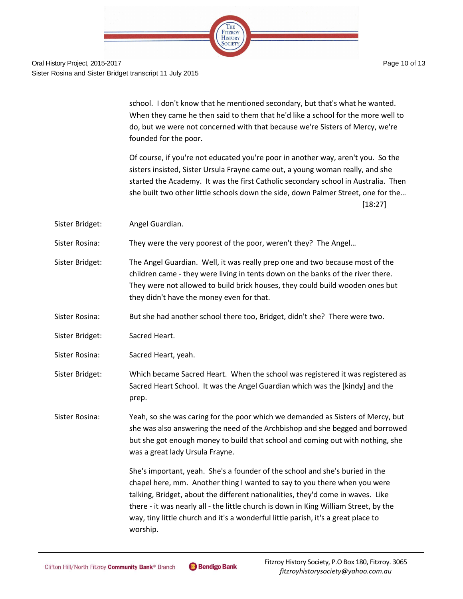

Page 10 of 13

school. I don't know that he mentioned secondary, but that's what he wanted. When they came he then said to them that he'd like a school for the more well to do, but we were not concerned with that because we're Sisters of Mercy, we're founded for the poor.

Of course, if you're not educated you're poor in another way, aren't you. So the sisters insisted, Sister Ursula Frayne came out, a young woman really, and she started the Academy. It was the first Catholic secondary school in Australia. Then she built two other little schools down the side, down Palmer Street, one for the… [18:27]

Sister Bridget: Angel Guardian.

Sister Rosina: They were the very poorest of the poor, weren't they? The Angel…

- Sister Bridget: The Angel Guardian. Well, it was really prep one and two because most of the children came - they were living in tents down on the banks of the river there. They were not allowed to build brick houses, they could build wooden ones but they didn't have the money even for that.
- Sister Rosina: But she had another school there too, Bridget, didn't she? There were two.
- Sister Bridget: Sacred Heart.
- Sister Rosina: Sacred Heart, yeah.
- Sister Bridget: Which became Sacred Heart. When the school was registered it was registered as Sacred Heart School. It was the Angel Guardian which was the [kindy] and the prep.
- Sister Rosina: Yeah, so she was caring for the poor which we demanded as Sisters of Mercy, but she was also answering the need of the Archbishop and she begged and borrowed but she got enough money to build that school and coming out with nothing, she was a great lady Ursula Frayne.

She's important, yeah. She's a founder of the school and she's buried in the chapel here, mm. Another thing I wanted to say to you there when you were talking, Bridget, about the different nationalities, they'd come in waves. Like there - it was nearly all - the little church is down in King William Street, by the way, tiny little church and it's a wonderful little parish, it's a great place to worship.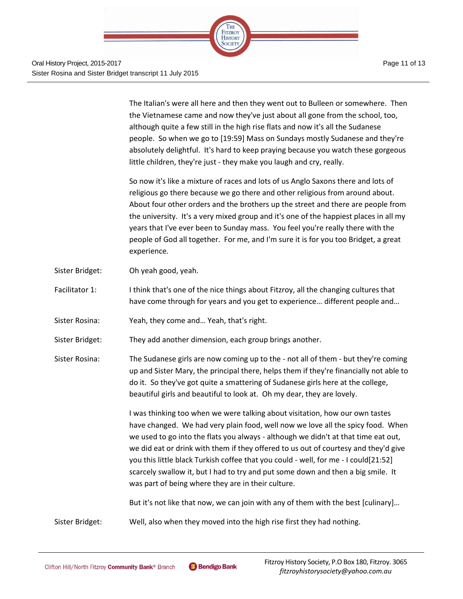

The Italian's were all here and then they went out to Bulleen or somewhere. Then the Vietnamese came and now they've just about all gone from the school, too, although quite a few still in the high rise flats and now it's all the Sudanese people. So when we go to [19:59] Mass on Sundays mostly Sudanese and they're absolutely delightful. It's hard to keep praying because you watch these gorgeous little children, they're just - they make you laugh and cry, really.

So now it's like a mixture of races and lots of us Anglo Saxons there and lots of religious go there because we go there and other religious from around about. About four other orders and the brothers up the street and there are people from the university. It's a very mixed group and it's one of the happiest places in all my years that I've ever been to Sunday mass. You feel you're really there with the people of God all together. For me, and I'm sure it is for you too Bridget, a great experience.

- Sister Bridget: Oh yeah good, yeah.
- Facilitator 1: I think that's one of the nice things about Fitzroy, all the changing cultures that have come through for years and you get to experience… different people and…
- Sister Rosina: Yeah, they come and… Yeah, that's right.
- Sister Bridget: They add another dimension, each group brings another.
- Sister Rosina: The Sudanese girls are now coming up to the not all of them but they're coming up and Sister Mary, the principal there, helps them if they're financially not able to do it. So they've got quite a smattering of Sudanese girls here at the college, beautiful girls and beautiful to look at. Oh my dear, they are lovely.

I was thinking too when we were talking about visitation, how our own tastes have changed. We had very plain food, well now we love all the spicy food. When we used to go into the flats you always - although we didn't at that time eat out, we did eat or drink with them if they offered to us out of courtesy and they'd give you this little black Turkish coffee that you could - well, for me - I could[21:52] scarcely swallow it, but I had to try and put some down and then a big smile. It was part of being where they are in their culture.

But it's not like that now, we can join with any of them with the best [culinary]…

Sister Bridget: Well, also when they moved into the high rise first they had nothing.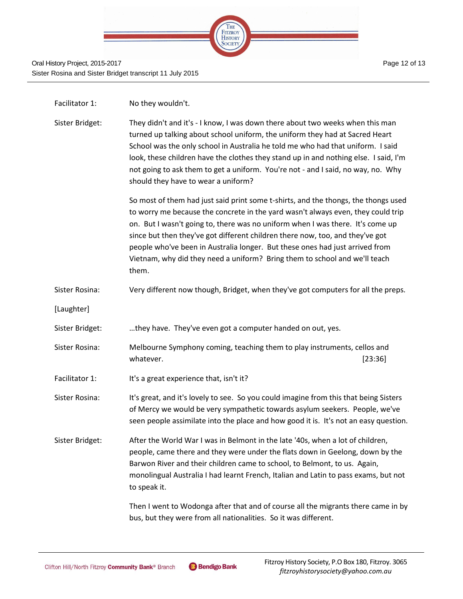

- Facilitator 1: No they wouldn't.
- Sister Bridget: They didn't and it's I know, I was down there about two weeks when this man turned up talking about school uniform, the uniform they had at Sacred Heart School was the only school in Australia he told me who had that uniform. I said look, these children have the clothes they stand up in and nothing else. I said, I'm not going to ask them to get a uniform. You're not - and I said, no way, no. Why should they have to wear a uniform?

So most of them had just said print some t-shirts, and the thongs, the thongs used to worry me because the concrete in the yard wasn't always even, they could trip on. But I wasn't going to, there was no uniform when I was there. It's come up since but then they've got different children there now, too, and they've got people who've been in Australia longer. But these ones had just arrived from Vietnam, why did they need a uniform? Bring them to school and we'll teach them.

- Sister Rosina: Very different now though, Bridget, when they've got computers for all the preps.
- [Laughter]

Sister Bridget: …they have. They've even got a computer handed on out, yes.

- Sister Rosina: Melbourne Symphony coming, teaching them to play instruments, cellos and whatever. [23:36]
- Facilitator 1: It's a great experience that, isn't it?

Sister Rosina: It's great, and it's lovely to see. So you could imagine from this that being Sisters of Mercy we would be very sympathetic towards asylum seekers. People, we've seen people assimilate into the place and how good it is. It's not an easy question.

Sister Bridget: After the World War I was in Belmont in the late '40s, when a lot of children, people, came there and they were under the flats down in Geelong, down by the Barwon River and their children came to school, to Belmont, to us. Again, monolingual Australia I had learnt French, Italian and Latin to pass exams, but not to speak it.

> Then I went to Wodonga after that and of course all the migrants there came in by bus, but they were from all nationalities. So it was different.